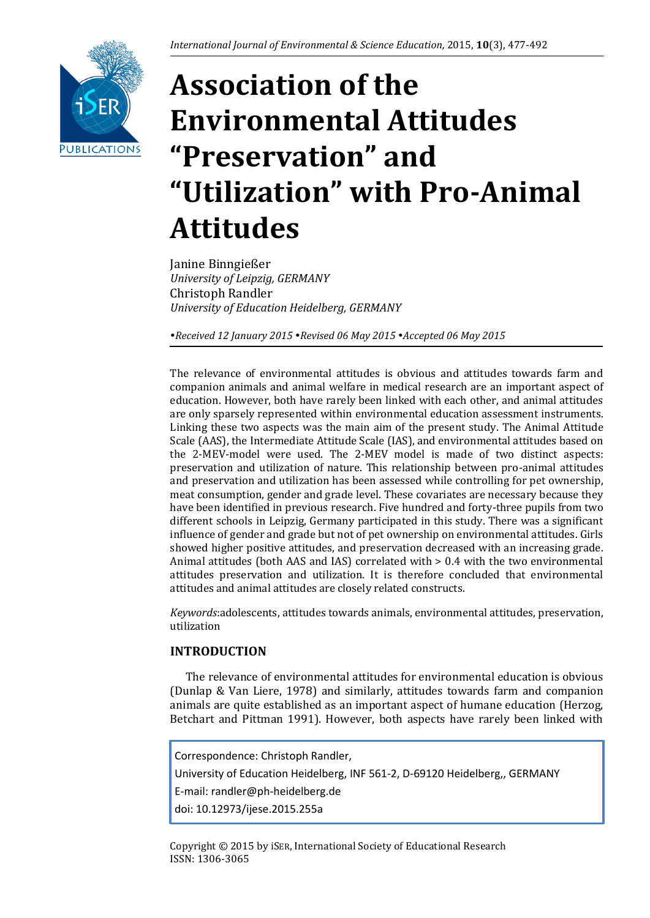

# **Association of the Environmental Attitudes "Preservation" and "Utilization" with Pro-Animal Attitudes**

Janine Binngießer *University of Leipzig, GERMANY* Christoph Randler *University of Education Heidelberg, GERMANY*

*Received 12 January 2015 Revised 06 May 2015 Accepted 06 May 2015*

The relevance of environmental attitudes is obvious and attitudes towards farm and companion animals and animal welfare in medical research are an important aspect of education. However, both have rarely been linked with each other, and animal attitudes are only sparsely represented within environmental education assessment instruments. Linking these two aspects was the main aim of the present study. The Animal Attitude Scale (AAS), the Intermediate Attitude Scale (IAS), and environmental attitudes based on the 2-MEV-model were used. The 2-MEV model is made of two distinct aspects: preservation and utilization of nature. This relationship between pro-animal attitudes and preservation and utilization has been assessed while controlling for pet ownership, meat consumption, gender and grade level. These covariates are necessary because they have been identified in previous research. Five hundred and forty-three pupils from two different schools in Leipzig, Germany participated in this study. There was a significant influence of gender and grade but not of pet ownership on environmental attitudes. Girls showed higher positive attitudes, and preservation decreased with an increasing grade. Animal attitudes (both AAS and IAS) correlated with > 0.4 with the two environmental attitudes preservation and utilization. It is therefore concluded that environmental attitudes and animal attitudes are closely related constructs.

*Keywords*:adolescents, attitudes towards animals, environmental attitudes, preservation, utilization

# **INTRODUCTION**

The relevance of environmental attitudes for environmental education is obvious (Dunlap & Van Liere, 1978) and similarly, attitudes towards farm and companion animals are quite established as an important aspect of humane education (Herzog, Betchart and Pittman 1991). However, both aspects have rarely been linked with

Correspondence: Christoph Randler, University of Education Heidelberg, INF 561-2, D-69120 Heidelberg,, GERMANY E-mail: randler@ph-heidelberg.de doi: 10.12973/ijese.2015.255a

Copyright © 2015 by iSER, International Society of Educational Research ISSN: 1306-3065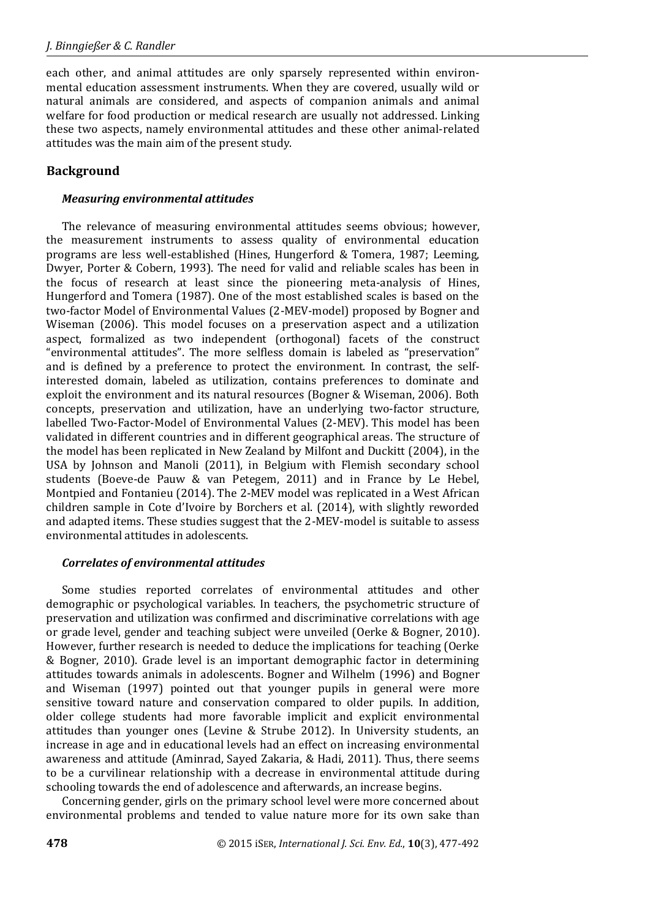each other, and animal attitudes are only sparsely represented within environmental education assessment instruments. When they are covered, usually wild or natural animals are considered, and aspects of companion animals and animal welfare for food production or medical research are usually not addressed. Linking these two aspects, namely environmental attitudes and these other animal-related attitudes was the main aim of the present study.

# **Background**

## *Measuring environmental attitudes*

The relevance of measuring environmental attitudes seems obvious; however, the measurement instruments to assess quality of environmental education programs are less well-established (Hines, Hungerford & Tomera, 1987; Leeming, Dwyer, Porter & Cobern, 1993). The need for valid and reliable scales has been in the focus of research at least since the pioneering meta-analysis of Hines, Hungerford and Tomera (1987). One of the most established scales is based on the two-factor Model of Environmental Values (2-MEV-model) proposed by Bogner and Wiseman (2006). This model focuses on a preservation aspect and a utilization aspect, formalized as two independent (orthogonal) facets of the construct "environmental attitudes". The more selfless domain is labeled as "preservation" and is defined by a preference to protect the environment. In contrast, the selfinterested domain, labeled as utilization, contains preferences to dominate and exploit the environment and its natural resources (Bogner & Wiseman, 2006). Both concepts, preservation and utilization, have an underlying two-factor structure, labelled Two-Factor-Model of Environmental Values (2-MEV). This model has been validated in different countries and in different geographical areas. The structure of the model has been replicated in New Zealand by Milfont and Duckitt (2004), in the USA by Johnson and Manoli (2011), in Belgium with Flemish secondary school students (Boeve-de Pauw & van Petegem, 2011) and in France by Le Hebel, Montpied and Fontanieu (2014). The 2-MEV model was replicated in a West African children sample in Cote d'Ivoire by Borchers et al. (2014), with slightly reworded and adapted items. These studies suggest that the 2-MEV-model is suitable to assess environmental attitudes in adolescents.

# *Correlates of environmental attitudes*

Some studies reported correlates of environmental attitudes and other demographic or psychological variables. In teachers, the psychometric structure of preservation and utilization was confirmed and discriminative correlations with age or grade level, gender and teaching subject were unveiled (Oerke & Bogner, 2010). However, further research is needed to deduce the implications for teaching (Oerke & Bogner, 2010). Grade level is an important demographic factor in determining attitudes towards animals in adolescents. Bogner and Wilhelm (1996) and Bogner and Wiseman (1997) pointed out that younger pupils in general were more sensitive toward nature and conservation compared to older pupils. In addition, older college students had more favorable implicit and explicit environmental attitudes than younger ones (Levine & Strube 2012). In University students, an increase in age and in educational levels had an effect on increasing environmental awareness and attitude (Aminrad, Sayed Zakaria, & Hadi, 2011). Thus, there seems to be a curvilinear relationship with a decrease in environmental attitude during schooling towards the end of adolescence and afterwards, an increase begins.

Concerning gender, girls on the primary school level were more concerned about environmental problems and tended to value nature more for its own sake than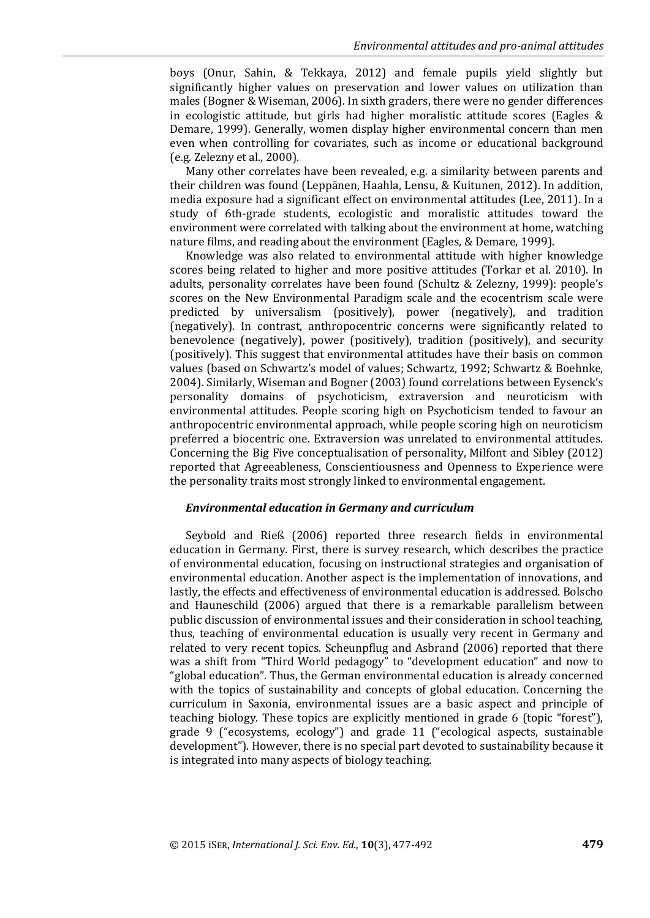boys (Onur, Sahin, & Tekkaya, 2012) and female pupils yield slightly but significantly higher values on preservation and lower values on utilization than males (Bogner & Wiseman, 2006). In sixth graders, there were no gender differences in ecologistic attitude, but girls had higher moralistic attitude scores (Eagles & Demare, 1999). Generally, women display higher environmental concern than men even when controlling for covariates, such as income or educational background (e.g. Zelezny et al., 2000).

Many other correlates have been revealed, e.g. a similarity between parents and their children was found (Leppänen, Haahla, Lensu, & Kuitunen, 2012). In addition, media exposure had a significant effect on environmental attitudes (Lee, 2011). In a study of 6th-grade students, ecologistic and moralistic attitudes toward the environment were correlated with talking about the environment at home, watching nature films, and reading about the environment (Eagles, & Demare, 1999).

Knowledge was also related to environmental attitude with higher knowledge scores being related to higher and more positive attitudes (Torkar et al. 2010). In adults, personality correlates have been found (Schultz & Zelezny, 1999): people's scores on the New Environmental Paradigm scale and the ecocentrism scale were predicted by universalism (positively), power (negatively), and tradition (negatively). In contrast, anthropocentric concerns were significantly related to benevolence (negatively), power (positively), tradition (positively), and security (positively). This suggest that environmental attitudes have their basis on common values (based on Schwartz's model of values; Schwartz, 1992; Schwartz & Boehnke, 2004). Similarly, Wiseman and Bogner (2003) found correlations between Eysenck's personality domains of psychoticism, extraversion and neuroticism with environmental attitudes. People scoring high on Psychoticism tended to favour an anthropocentric environmental approach, while people scoring high on neuroticism preferred a biocentric one. Extraversion was unrelated to environmental attitudes. Concerning the Big Five conceptualisation of personality, Milfont and Sibley (2012) reported that Agreeableness, Conscientiousness and Openness to Experience were the personality traits most strongly linked to environmental engagement.

#### *Environmental education in Germany and curriculum*

Seybold and Rieß (2006) reported three research fields in environmental education in Germany. First, there is survey research, which describes the practice of environmental education, focusing on instructional strategies and organisation of environmental education. Another aspect is the implementation of innovations, and lastly, the effects and effectiveness of environmental education is addressed. Bolscho and Hauneschild (2006) argued that there is a remarkable parallelism between public discussion of environmental issues and their consideration in school teaching, thus, teaching of environmental education is usually very recent in Germany and related to very recent topics. Scheunpflug and Asbrand (2006) reported that there was a shift from "Third World pedagogy" to "development education" and now to "global education". Thus, the German environmental education is already concerned with the topics of sustainability and concepts of global education. Concerning the curriculum in Saxonia, environmental issues are a basic aspect and principle of teaching biology. These topics are explicitly mentioned in grade 6 (topic "forest"), grade 9 ("ecosystems, ecology") and grade 11 ("ecological aspects, sustainable development"). However, there is no special part devoted to sustainability because it is integrated into many aspects of biology teaching.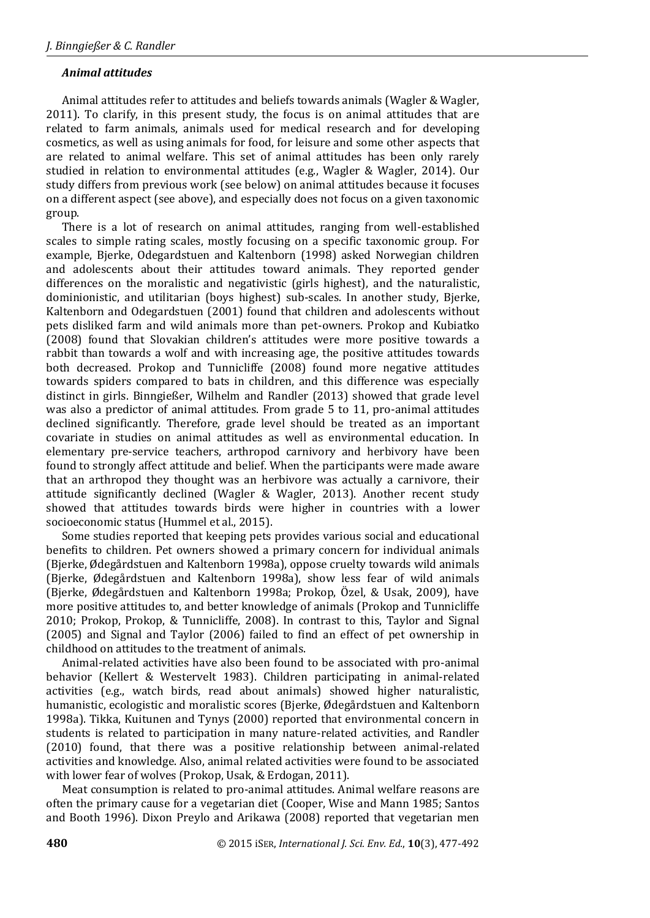## *Animal attitudes*

Animal attitudes refer to attitudes and beliefs towards animals (Wagler & Wagler, 2011). To clarify, in this present study, the focus is on animal attitudes that are related to farm animals, animals used for medical research and for developing cosmetics, as well as using animals for food, for leisure and some other aspects that are related to animal welfare. This set of animal attitudes has been only rarely studied in relation to environmental attitudes (e.g., Wagler & Wagler, 2014). Our study differs from previous work (see below) on animal attitudes because it focuses on a different aspect (see above), and especially does not focus on a given taxonomic group.

There is a lot of research on animal attitudes, ranging from well-established scales to simple rating scales, mostly focusing on a specific taxonomic group. For example, Bjerke, Odegardstuen and Kaltenborn (1998) asked Norwegian children and adolescents about their attitudes toward animals. They reported gender differences on the moralistic and negativistic (girls highest), and the naturalistic, dominionistic, and utilitarian (boys highest) sub-scales. In another study, Bjerke, Kaltenborn and Odegardstuen (2001) found that children and adolescents without pets disliked farm and wild animals more than pet-owners. Prokop and Kubiatko (2008) found that Slovakian children's attitudes were more positive towards a rabbit than towards a wolf and with increasing age, the positive attitudes towards both decreased. Prokop and Tunnicliffe (2008) found more negative attitudes towards spiders compared to bats in children, and this difference was especially distinct in girls. Binngießer, Wilhelm and Randler (2013) showed that grade level was also a predictor of animal attitudes. From grade 5 to 11, pro-animal attitudes declined significantly. Therefore, grade level should be treated as an important covariate in studies on animal attitudes as well as environmental education. In elementary pre-service teachers, arthropod carnivory and herbivory have been found to strongly affect attitude and belief. When the participants were made aware that an arthropod they thought was an herbivore was actually a carnivore, their attitude significantly declined (Wagler & Wagler, 2013). Another recent study showed that attitudes towards birds were higher in countries with a lower socioeconomic status (Hummel et al., 2015).

Some studies reported that keeping pets provides various social and educational benefits to children. Pet owners showed a primary concern for individual animals (Bjerke, Ødegårdstuen and Kaltenborn 1998a), oppose cruelty towards wild animals (Bjerke, Ødegårdstuen and Kaltenborn 1998a), show less fear of wild animals (Bjerke, Ødegårdstuen and Kaltenborn 1998a; Prokop, Özel, & Usak, 2009), have more positive attitudes to, and better knowledge of animals (Prokop and Tunnicliffe 2010; Prokop, Prokop, & Tunnicliffe, 2008). In contrast to this, Taylor and Signal (2005) and Signal and Taylor (2006) failed to find an effect of pet ownership in childhood on attitudes to the treatment of animals.

Animal-related activities have also been found to be associated with pro-animal behavior (Kellert & Westervelt 1983). Children participating in animal-related activities (e.g., watch birds, read about animals) showed higher naturalistic, humanistic, ecologistic and moralistic scores (Bjerke, Ødegårdstuen and Kaltenborn 1998a). Tikka, Kuitunen and Tynys (2000) reported that environmental concern in students is related to participation in many nature-related activities, and Randler (2010) found, that there was a positive relationship between animal-related activities and knowledge. Also, animal related activities were found to be associated with lower fear of wolves (Prokop, Usak, & Erdogan, 2011).

Meat consumption is related to pro-animal attitudes. Animal welfare reasons are often the primary cause for a vegetarian diet (Cooper, Wise and Mann 1985; Santos and Booth 1996). Dixon Preylo and Arikawa (2008) reported that vegetarian men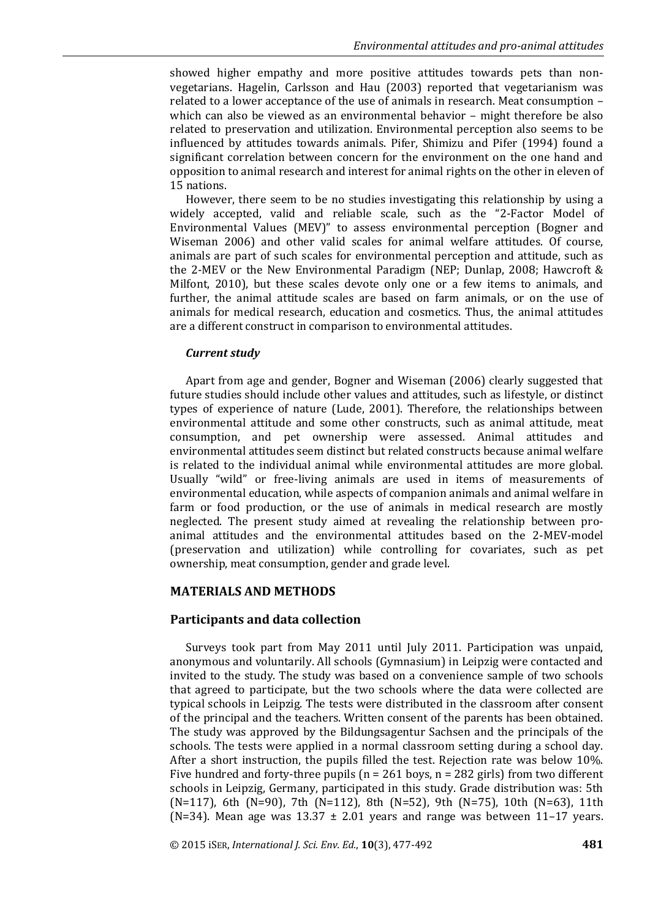showed higher empathy and more positive attitudes towards pets than nonvegetarians. Hagelin, Carlsson and Hau (2003) reported that vegetarianism was related to a lower acceptance of the use of animals in research. Meat consumption – which can also be viewed as an environmental behavior – might therefore be also related to preservation and utilization. Environmental perception also seems to be influenced by attitudes towards animals. Pifer, Shimizu and Pifer (1994) found a significant correlation between concern for the environment on the one hand and opposition to animal research and interest for animal rights on the other in eleven of 15 nations.

However, there seem to be no studies investigating this relationship by using a widely accepted, valid and reliable scale, such as the "2-Factor Model of Environmental Values (MEV)" to assess environmental perception (Bogner and Wiseman 2006) and other valid scales for animal welfare attitudes. Of course, animals are part of such scales for environmental perception and attitude, such as the 2-MEV or the New Environmental Paradigm (NEP; Dunlap, 2008; Hawcroft & Milfont, 2010), but these scales devote only one or a few items to animals, and further, the animal attitude scales are based on farm animals, or on the use of animals for medical research, education and cosmetics. Thus, the animal attitudes are a different construct in comparison to environmental attitudes.

#### *Current study*

Apart from age and gender, Bogner and Wiseman (2006) clearly suggested that future studies should include other values and attitudes, such as lifestyle, or distinct types of experience of nature (Lude, 2001). Therefore, the relationships between environmental attitude and some other constructs, such as animal attitude, meat consumption, and pet ownership were assessed. Animal attitudes and environmental attitudes seem distinct but related constructs because animal welfare is related to the individual animal while environmental attitudes are more global. Usually "wild" or free-living animals are used in items of measurements of environmental education, while aspects of companion animals and animal welfare in farm or food production, or the use of animals in medical research are mostly neglected. The present study aimed at revealing the relationship between proanimal attitudes and the environmental attitudes based on the 2-MEV-model (preservation and utilization) while controlling for covariates, such as pet ownership, meat consumption, gender and grade level.

## **MATERIALS AND METHODS**

## **Participants and data collection**

Surveys took part from May 2011 until July 2011. Participation was unpaid, anonymous and voluntarily. All schools (Gymnasium) in Leipzig were contacted and invited to the study. The study was based on a convenience sample of two schools that agreed to participate, but the two schools where the data were collected are typical schools in Leipzig. The tests were distributed in the classroom after consent of the principal and the teachers. Written consent of the parents has been obtained. The study was approved by the Bildungsagentur Sachsen and the principals of the schools. The tests were applied in a normal classroom setting during a school day. After a short instruction, the pupils filled the test. Rejection rate was below 10%. Five hundred and forty-three pupils ( $n = 261$  boys,  $n = 282$  girls) from two different schools in Leipzig, Germany, participated in this study. Grade distribution was: 5th (N=117), 6th (N=90), 7th (N=112), 8th (N=52), 9th (N=75), 10th (N=63), 11th (N=34). Mean age was  $13.37 \pm 2.01$  years and range was between  $11-17$  years.

© 2015 iSER, *International J. Sci. Env. Ed.*, **10**(3), 477-492 **481**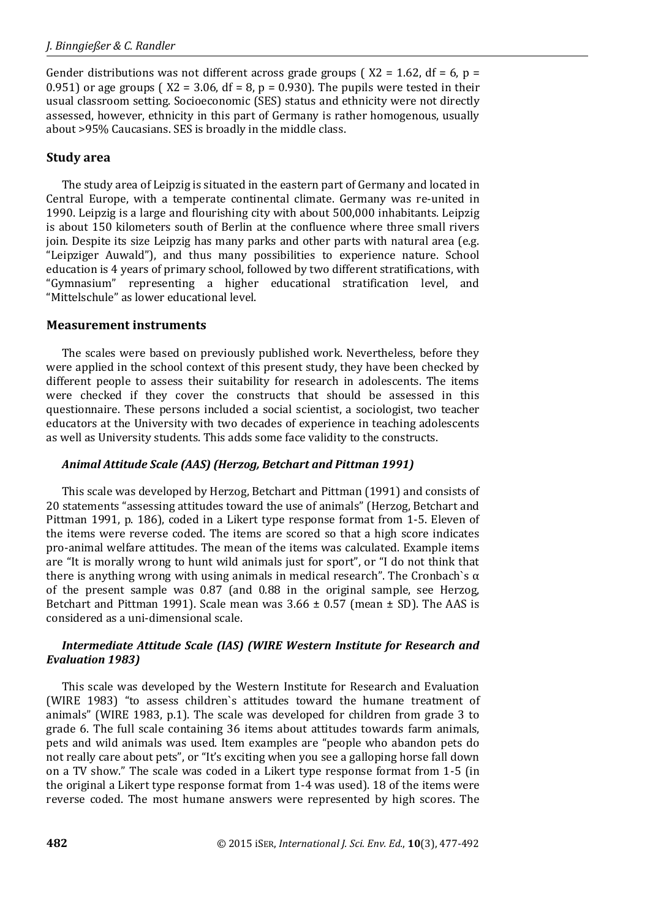Gender distributions was not different across grade groups ( $X2 = 1.62$ , df = 6, p = 0.951) or age groups ( $X2 = 3.06$ , df = 8, p = 0.930). The pupils were tested in their usual classroom setting. Socioeconomic (SES) status and ethnicity were not directly assessed, however, ethnicity in this part of Germany is rather homogenous, usually about >95% Caucasians. SES is broadly in the middle class.

## **Study area**

The study area of Leipzig is situated in the eastern part of Germany and located in Central Europe, with a temperate continental climate. Germany was re-united in 1990. Leipzig is a large and flourishing city with about 500,000 inhabitants. Leipzig is about 150 kilometers south of Berlin at the confluence where three small rivers join. Despite its size Leipzig has many parks and other parts with natural area (e.g. "Leipziger Auwald"), and thus many possibilities to experience nature. School education is 4 years of primary school, followed by two different stratifications, with "Gymnasium" representing a higher educational stratification level, and "Mittelschule" as lower educational level.

## **Measurement instruments**

The scales were based on previously published work. Nevertheless, before they were applied in the school context of this present study, they have been checked by different people to assess their suitability for research in adolescents. The items were checked if they cover the constructs that should be assessed in this questionnaire. These persons included a social scientist, a sociologist, two teacher educators at the University with two decades of experience in teaching adolescents as well as University students. This adds some face validity to the constructs.

## *Animal Attitude Scale (AAS) (Herzog, Betchart and Pittman 1991)*

This scale was developed by Herzog, Betchart and Pittman (1991) and consists of 20 statements "assessing attitudes toward the use of animals" (Herzog, Betchart and Pittman 1991, p. 186), coded in a Likert type response format from 1-5. Eleven of the items were reverse coded. The items are scored so that a high score indicates pro-animal welfare attitudes. The mean of the items was calculated. Example items are "It is morally wrong to hunt wild animals just for sport", or "I do not think that there is anything wrong with using animals in medical research". The Cronbach's  $\alpha$ of the present sample was 0.87 (and 0.88 in the original sample, see Herzog, Betchart and Pittman 1991). Scale mean was  $3.66 \pm 0.57$  (mean  $\pm$  SD). The AAS is considered as a uni-dimensional scale.

# *Intermediate Attitude Scale (IAS) (WIRE Western Institute for Research and Evaluation 1983)*

This scale was developed by the Western Institute for Research and Evaluation (WIRE 1983) "to assess children`s attitudes toward the humane treatment of animals" (WIRE 1983, p.1). The scale was developed for children from grade 3 to grade 6. The full scale containing 36 items about attitudes towards farm animals, pets and wild animals was used. Item examples are "people who abandon pets do not really care about pets", or "It's exciting when you see a galloping horse fall down on a TV show." The scale was coded in a Likert type response format from 1-5 (in the original a Likert type response format from 1-4 was used). 18 of the items were reverse coded. The most humane answers were represented by high scores. The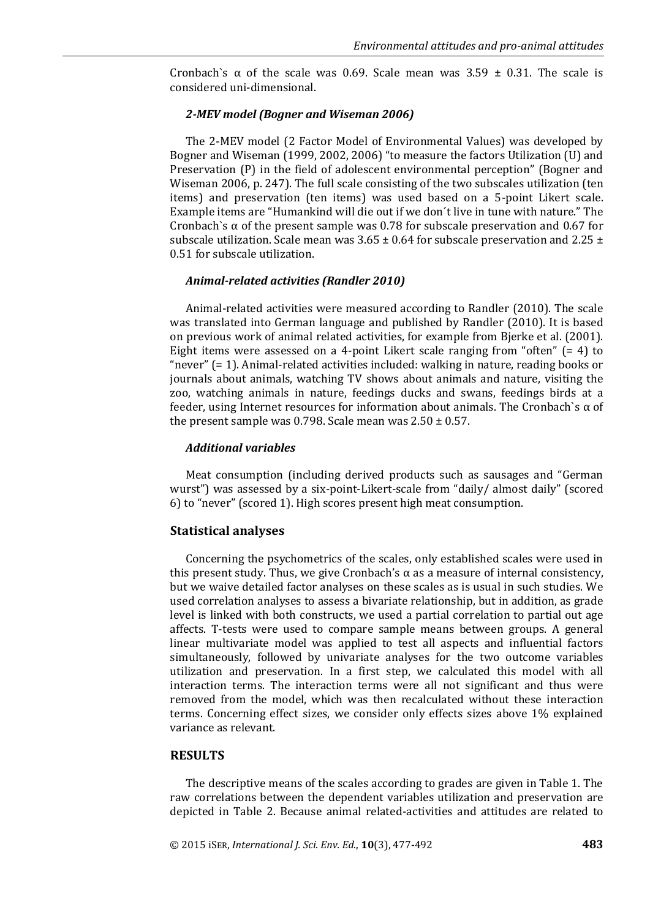Cronbach`s  $\alpha$  of the scale was 0.69. Scale mean was 3.59  $\pm$  0.31. The scale is considered uni-dimensional.

#### *2-MEV model (Bogner and Wiseman 2006)*

The 2-MEV model (2 Factor Model of Environmental Values) was developed by Bogner and Wiseman (1999, 2002, 2006) "to measure the factors Utilization (U) and Preservation (P) in the field of adolescent environmental perception" (Bogner and Wiseman 2006, p. 247). The full scale consisting of the two subscales utilization (ten items) and preservation (ten items) was used based on a 5-point Likert scale. Example items are "Humankind will die out if we don´t live in tune with nature." The Cronbach`s  $\alpha$  of the present sample was 0.78 for subscale preservation and 0.67 for subscale utilization. Scale mean was  $3.65 \pm 0.64$  for subscale preservation and 2.25  $\pm$ 0.51 for subscale utilization.

#### *Animal-related activities (Randler 2010)*

Animal-related activities were measured according to Randler (2010). The scale was translated into German language and published by Randler (2010). It is based on previous work of animal related activities, for example from Bjerke et al. (2001). Eight items were assessed on a 4-point Likert scale ranging from "often" (= 4) to "never" (= 1). Animal-related activities included: walking in nature, reading books or journals about animals, watching TV shows about animals and nature, visiting the zoo, watching animals in nature, feedings ducks and swans, feedings birds at a feeder, using Internet resources for information about animals. The Cronbach`s α of the present sample was 0.798. Scale mean was  $2.50 \pm 0.57$ .

#### *Additional variables*

Meat consumption (including derived products such as sausages and "German wurst") was assessed by a six-point-Likert-scale from "daily/ almost daily" (scored 6) to "never" (scored 1). High scores present high meat consumption.

## **Statistical analyses**

Concerning the psychometrics of the scales, only established scales were used in this present study. Thus, we give Cronbach's  $α$  as a measure of internal consistency, but we waive detailed factor analyses on these scales as is usual in such studies. We used correlation analyses to assess a bivariate relationship, but in addition, as grade level is linked with both constructs, we used a partial correlation to partial out age affects. T-tests were used to compare sample means between groups. A general linear multivariate model was applied to test all aspects and influential factors simultaneously, followed by univariate analyses for the two outcome variables utilization and preservation. In a first step, we calculated this model with all interaction terms. The interaction terms were all not significant and thus were removed from the model, which was then recalculated without these interaction terms. Concerning effect sizes, we consider only effects sizes above 1% explained variance as relevant.

#### **RESULTS**

The descriptive means of the scales according to grades are given in Table 1. The raw correlations between the dependent variables utilization and preservation are depicted in Table 2. Because animal related-activities and attitudes are related to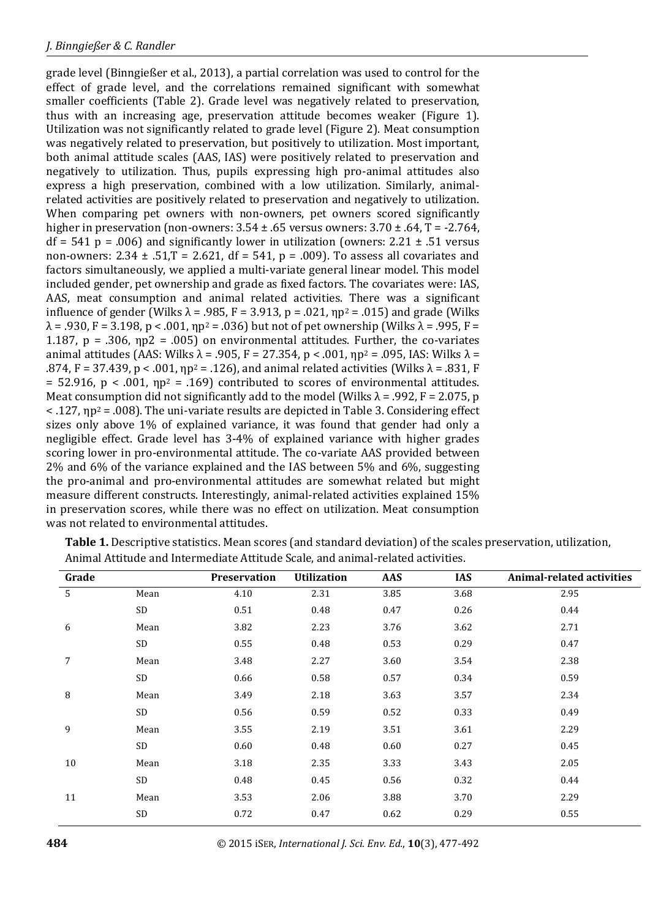grade level (Binngießer et al., 2013), a partial correlation was used to control for the effect of grade level, and the correlations remained significant with somewhat smaller coefficients (Table 2). Grade level was negatively related to preservation, thus with an increasing age, preservation attitude becomes weaker (Figure 1). Utilization was not significantly related to grade level (Figure 2). Meat consumption was negatively related to preservation, but positively to utilization. Most important, both animal attitude scales (AAS, IAS) were positively related to preservation and negatively to utilization. Thus, pupils expressing high pro-animal attitudes also express a high preservation, combined with a low utilization. Similarly, animalrelated activities are positively related to preservation and negatively to utilization. When comparing pet owners with non-owners, pet owners scored significantly higher in preservation (non-owners:  $3.54 \pm .65$  versus owners:  $3.70 \pm .64$ , T = -2.764,  $df = 541$  p = .006) and significantly lower in utilization (owners: 2.21  $\pm$  .51 versus non-owners:  $2.34 \pm .51$ , T =  $2.621$ , df =  $541$ , p = .009). To assess all covariates and factors simultaneously, we applied a multi-variate general linear model. This model included gender, pet ownership and grade as fixed factors. The covariates were: IAS, AAS, meat consumption and animal related activities. There was a significant influence of gender (Wilks  $\lambda = .985$ , F = 3.913, p = .021,  $np^2 = .015$ ) and grade (Wilks  $\lambda = .930$ , F = 3.198, p < .001,  $np^2 = .036$ ) but not of pet ownership (Wilks  $\lambda = .995$ , F = 1.187,  $p = .306$ ,  $np2 = .005$ ) on environmental attitudes. Further, the co-variates animal attitudes (AAS: Wilks  $λ = .905$ ,  $F = 27.354$ ,  $p < .001$ ,  $np^2 = .095$ , IAS: Wilks  $λ =$ .874, F = 37.439, p < .001, ηp<sup>2</sup> = .126), and animal related activities (Wilks  $λ$  = .831, F = 52.916, p < .001,  $np^2$  = .169) contributed to scores of environmental attitudes. Meat consumption did not significantly add to the model (Wilks  $\lambda$  = .992, F = 2.075, p  $\langle 127, np^2 = .008 \rangle$ . The uni-variate results are depicted in Table 3. Considering effect sizes only above 1% of explained variance, it was found that gender had only a negligible effect. Grade level has 3-4% of explained variance with higher grades scoring lower in pro-environmental attitude. The co-variate AAS provided between 2% and 6% of the variance explained and the IAS between 5% and 6%, suggesting the pro-animal and pro-environmental attitudes are somewhat related but might measure different constructs. Interestingly, animal-related activities explained 15% in preservation scores, while there was no effect on utilization. Meat consumption was not related to environmental attitudes.

| Grade           |          | Preservation | <b>Utilization</b> | AAS  | <b>IAS</b> | <b>Animal-related activities</b> |
|-----------------|----------|--------------|--------------------|------|------------|----------------------------------|
| $5\phantom{.0}$ | Mean     | 4.10         | 2.31               | 3.85 | 3.68       | 2.95                             |
|                 | $\rm SD$ | 0.51         | 0.48               | 0.47 | 0.26       | 0.44                             |
| 6               | Mean     | 3.82         | 2.23               | 3.76 | 3.62       | 2.71                             |
|                 | SD       | 0.55         | 0.48               | 0.53 | 0.29       | 0.47                             |
| 7               | Mean     | 3.48         | 2.27               | 3.60 | 3.54       | 2.38                             |
|                 | SD       | 0.66         | 0.58               | 0.57 | 0.34       | 0.59                             |
| $\, 8$          | Mean     | 3.49         | 2.18               | 3.63 | 3.57       | 2.34                             |
|                 | SD       | 0.56         | 0.59               | 0.52 | 0.33       | 0.49                             |
| 9               | Mean     | 3.55         | 2.19               | 3.51 | 3.61       | 2.29                             |
|                 | SD       | 0.60         | 0.48               | 0.60 | 0.27       | 0.45                             |
| 10              | Mean     | 3.18         | 2.35               | 3.33 | 3.43       | 2.05                             |
|                 | SD       | 0.48         | 0.45               | 0.56 | 0.32       | 0.44                             |
| 11              | Mean     | 3.53         | 2.06               | 3.88 | 3.70       | 2.29                             |
|                 | $\rm SD$ | 0.72         | 0.47               | 0.62 | 0.29       | 0.55                             |
|                 |          |              |                    |      |            |                                  |

**Table 1.** Descriptive statistics. Mean scores (and standard deviation) of the scales preservation, utilization, Animal Attitude and Intermediate Attitude Scale, and animal-related activities.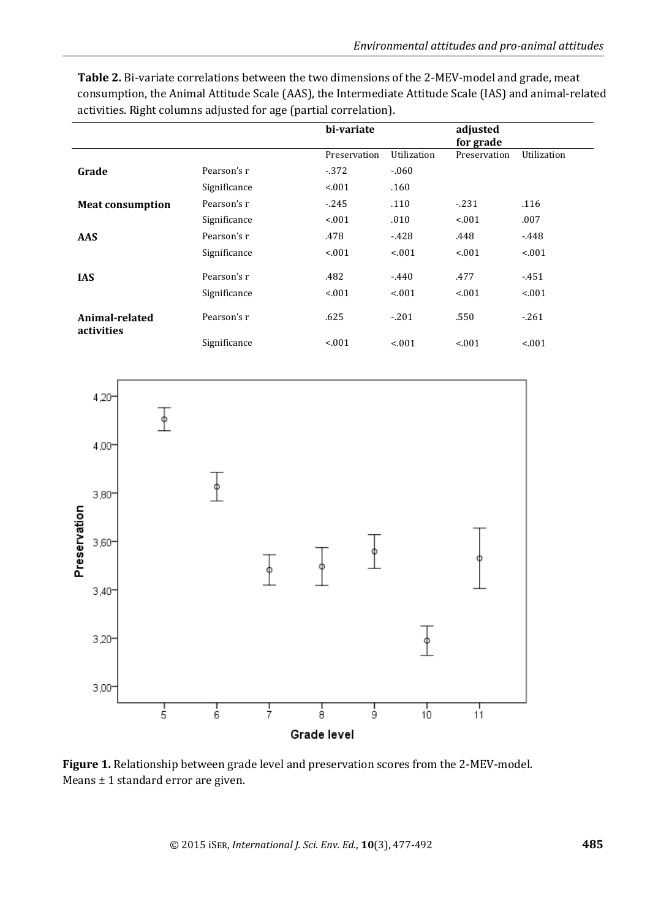|                              |              | bi-variate   |             | adjusted<br>for grade |             |
|------------------------------|--------------|--------------|-------------|-----------------------|-------------|
|                              |              | Preservation | Utilization | Preservation          | Utilization |
| Grade                        | Pearson's r  | $-372$       | $-060$      |                       |             |
|                              | Significance | < 0.01       | .160        |                       |             |
| <b>Meat consumption</b>      | Pearson's r  | $-245$       | .110        | $-231$                | .116        |
|                              | Significance | < 0.01       | .010        | < 0.01                | .007        |
| <b>AAS</b>                   | Pearson's r  | .478         | $-428$      | .448                  | $-448$      |
|                              | Significance | < 0.01       | < 0.01      | < 0.01                | < 0.01      |
| <b>IAS</b>                   | Pearson's r  | .482         | $-440$      | .477                  | $-451$      |
|                              | Significance | < 0.01       | < 0.01      | < 0.01                | < .001      |
| Animal-related<br>activities | Pearson's r  | .625         | $-.201$     | .550                  | $-261$      |
|                              | Significance | < 0.01       | < .001      | < 0.01                | < 0.01      |

**Table 2.** Bi-variate correlations between the two dimensions of the 2-MEV-model and grade, meat consumption, the Animal Attitude Scale (AAS), the Intermediate Attitude Scale (IAS) and animal-related activities. Right columns adjusted for age (partial correlation).



**Figure 1.** Relationship between grade level and preservation scores from the 2-MEV-model. Means ± 1 standard error are given.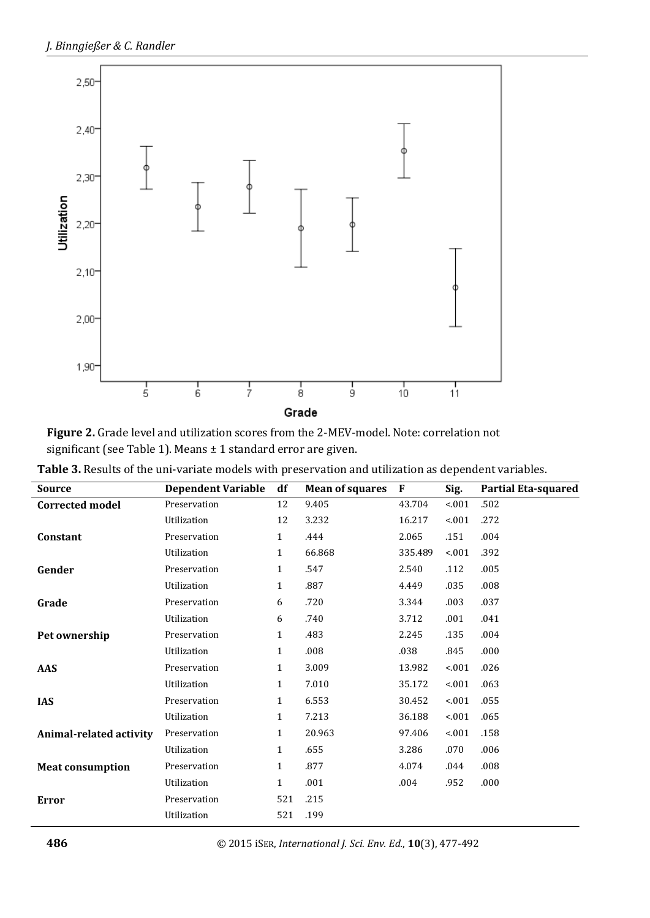

**Figure 2.** Grade level and utilization scores from the 2-MEV-model. Note: correlation not significant (see Table 1). Means ± 1 standard error are given.

| <b>Source</b>           | <b>Dependent Variable</b> | df           | <b>Mean of squares</b> | F       | Sig.   | <b>Partial Eta-squared</b> |
|-------------------------|---------------------------|--------------|------------------------|---------|--------|----------------------------|
| <b>Corrected model</b>  | Preservation              | 12           | 9.405                  | 43.704  | < .001 | .502                       |
|                         | Utilization               | 12           | 3.232                  | 16.217  | < .001 | .272                       |
| Constant                | Preservation              | $\mathbf{1}$ | .444                   | 2.065   | .151   | .004                       |
|                         | Utilization               | $\mathbf{1}$ | 66.868                 | 335.489 | < .001 | .392                       |
| Gender                  | Preservation              | $\mathbf{1}$ | .547                   | 2.540   | .112   | .005                       |
|                         | Utilization               | $\mathbf{1}$ | .887                   | 4.449   | .035   | .008                       |
| Grade                   | Preservation              | 6            | .720                   | 3.344   | .003   | .037                       |
|                         | Utilization               | 6            | .740                   | 3.712   | .001   | .041                       |
| Pet ownership           | Preservation              | $\mathbf{1}$ | .483                   | 2.245   | .135   | .004                       |
|                         | Utilization               | $\mathbf{1}$ | .008                   | .038    | .845   | .000                       |
| <b>AAS</b>              | Preservation              | $\mathbf{1}$ | 3.009                  | 13.982  | < .001 | .026                       |
|                         | Utilization               | $\mathbf{1}$ | 7.010                  | 35.172  | < 001  | .063                       |
| <b>IAS</b>              | Preservation              | $\mathbf{1}$ | 6.553                  | 30.452  | < 001  | .055                       |
|                         | Utilization               | $\mathbf{1}$ | 7.213                  | 36.188  | < 001  | .065                       |
| Animal-related activity | Preservation              | $\mathbf{1}$ | 20.963                 | 97.406  | < 0.01 | .158                       |
|                         | Utilization               | $\mathbf{1}$ | .655                   | 3.286   | .070   | .006                       |
| <b>Meat consumption</b> | Preservation              | $\mathbf{1}$ | .877                   | 4.074   | .044   | .008                       |
|                         | Utilization               | $\mathbf{1}$ | .001                   | .004    | .952   | .000                       |
| <b>Error</b>            | Preservation              | 521          | .215                   |         |        |                            |
|                         | Utilization               | 521          | .199                   |         |        |                            |

**Table 3.** Results of the uni-variate models with preservation and utilization as dependent variables.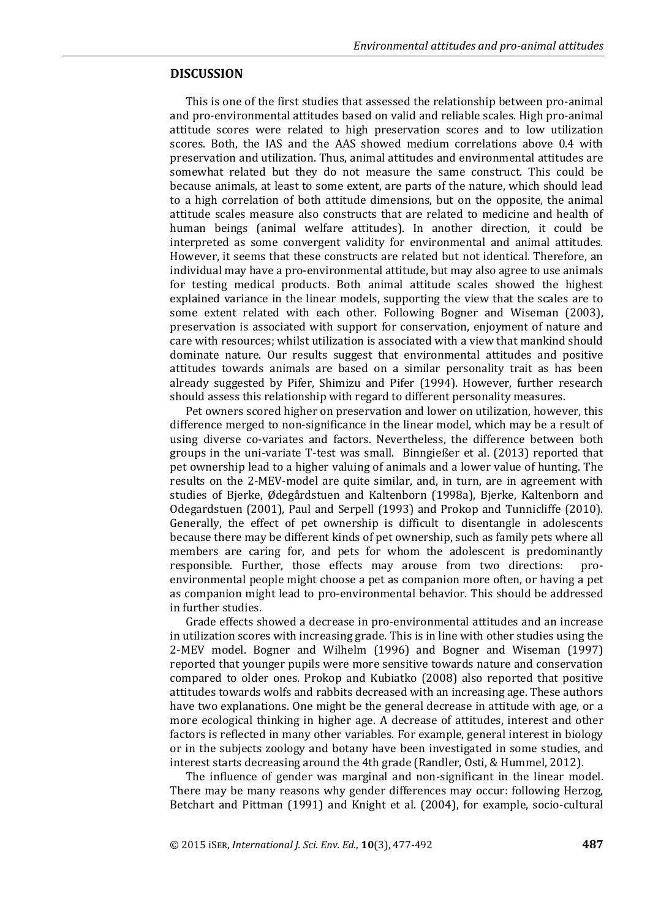## **DISCUSSION**

This is one of the first studies that assessed the relationship between pro-animal and pro-environmental attitudes based on valid and reliable scales. High pro-animal attitude scores were related to high preservation scores and to low utilization scores. Both, the IAS and the AAS showed medium correlations above 0.4 with preservation and utilization. Thus, animal attitudes and environmental attitudes are somewhat related but they do not measure the same construct. This could be because animals, at least to some extent, are parts of the nature, which should lead to a high correlation of both attitude dimensions, but on the opposite, the animal attitude scales measure also constructs that are related to medicine and health of human beings (animal welfare attitudes). In another direction, it could be interpreted as some convergent validity for environmental and animal attitudes. However, it seems that these constructs are related but not identical. Therefore, an individual may have a pro-environmental attitude, but may also agree to use animals for testing medical products. Both animal attitude scales showed the highest explained variance in the linear models, supporting the view that the scales are to some extent related with each other. Following Bogner and Wiseman (2003), preservation is associated with support for conservation, enjoyment of nature and care with resources; whilst utilization is associated with a view that mankind should dominate nature. Our results suggest that environmental attitudes and positive attitudes towards animals are based on a similar personality trait as has been already suggested by Pifer, Shimizu and Pifer (1994). However, further research should assess this relationship with regard to different personality measures.

Pet owners scored higher on preservation and lower on utilization, however, this difference merged to non-significance in the linear model, which may be a result of using diverse co-variates and factors. Nevertheless, the difference between both groups in the uni-variate T-test was small. Binngießer et al. (2013) reported that pet ownership lead to a higher valuing of animals and a lower value of hunting. The results on the 2-MEV-model are quite similar, and, in turn, are in agreement with studies of Bjerke, Ødegårdstuen and Kaltenborn (1998a), Bjerke, Kaltenborn and Odegardstuen (2001), Paul and Serpell (1993) and Prokop and Tunnicliffe (2010). Generally, the effect of pet ownership is difficult to disentangle in adolescents because there may be different kinds of pet ownership, such as family pets where all members are caring for, and pets for whom the adolescent is predominantly responsible. Further, those effects may arouse from two directions: proenvironmental people might choose a pet as companion more often, or having a pet as companion might lead to pro-environmental behavior. This should be addressed in further studies.

Grade effects showed a decrease in pro-environmental attitudes and an increase in utilization scores with increasing grade. This is in line with other studies using the 2-MEV model. Bogner and Wilhelm (1996) and Bogner and Wiseman (1997) reported that younger pupils were more sensitive towards nature and conservation compared to older ones. Prokop and Kubiatko (2008) also reported that positive attitudes towards wolfs and rabbits decreased with an increasing age. These authors have two explanations. One might be the general decrease in attitude with age, or a more ecological thinking in higher age. A decrease of attitudes, interest and other factors is reflected in many other variables. For example, general interest in biology or in the subjects zoology and botany have been investigated in some studies, and interest starts decreasing around the 4th grade (Randler, Osti, & Hummel, 2012).

The influence of gender was marginal and non-significant in the linear model. There may be many reasons why gender differences may occur: following Herzog, Betchart and Pittman (1991) and Knight et al. (2004), for example, socio-cultural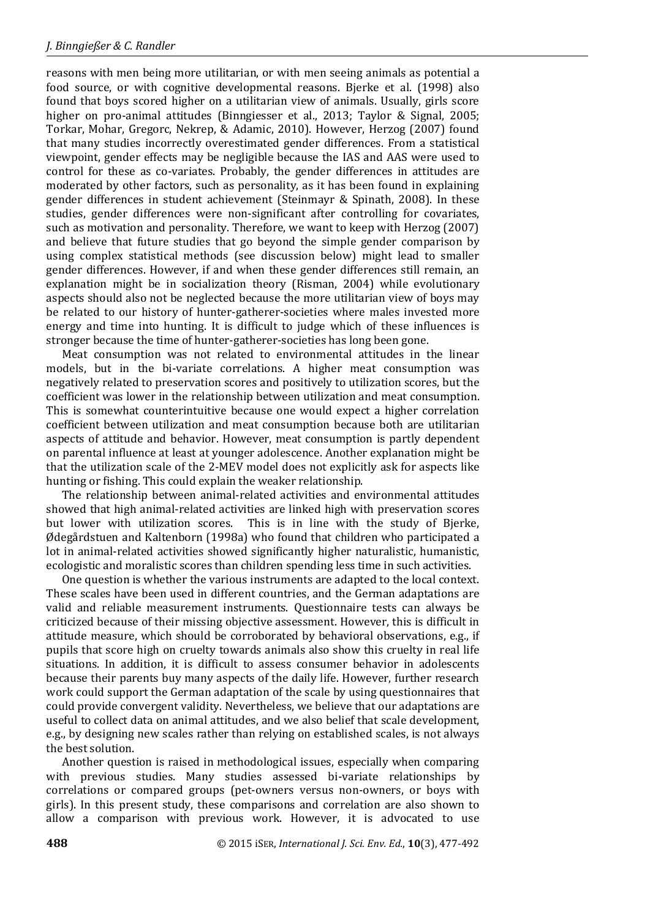reasons with men being more utilitarian, or with men seeing animals as potential a food source, or with cognitive developmental reasons. Bjerke et al. (1998) also found that boys scored higher on a utilitarian view of animals. Usually, girls score higher on pro-animal attitudes (Binngiesser et al., 2013; Taylor & Signal, 2005; Torkar, Mohar, Gregorc, Nekrep, & Adamic, 2010). However, Herzog (2007) found that many studies incorrectly overestimated gender differences. From a statistical viewpoint, gender effects may be negligible because the IAS and AAS were used to control for these as co-variates. Probably, the gender differences in attitudes are moderated by other factors, such as personality, as it has been found in explaining gender differences in student achievement (Steinmayr & Spinath, 2008). In these studies, gender differences were non-significant after controlling for covariates, such as motivation and personality. Therefore, we want to keep with Herzog (2007) and believe that future studies that go beyond the simple gender comparison by using complex statistical methods (see discussion below) might lead to smaller gender differences. However, if and when these gender differences still remain, an explanation might be in socialization theory (Risman, 2004) while evolutionary aspects should also not be neglected because the more utilitarian view of boys may be related to our history of hunter-gatherer-societies where males invested more energy and time into hunting. It is difficult to judge which of these influences is stronger because the time of hunter-gatherer-societies has long been gone.

Meat consumption was not related to environmental attitudes in the linear models, but in the bi-variate correlations. A higher meat consumption was negatively related to preservation scores and positively to utilization scores, but the coefficient was lower in the relationship between utilization and meat consumption. This is somewhat counterintuitive because one would expect a higher correlation coefficient between utilization and meat consumption because both are utilitarian aspects of attitude and behavior. However, meat consumption is partly dependent on parental influence at least at younger adolescence. Another explanation might be that the utilization scale of the 2-MEV model does not explicitly ask for aspects like hunting or fishing. This could explain the weaker relationship.

The relationship between animal-related activities and environmental attitudes showed that high animal-related activities are linked high with preservation scores but lower with utilization scores. This is in line with the study of Bjerke, Ødegårdstuen and Kaltenborn (1998a) who found that children who participated a lot in animal-related activities showed significantly higher naturalistic, humanistic, ecologistic and moralistic scores than children spending less time in such activities.

One question is whether the various instruments are adapted to the local context. These scales have been used in different countries, and the German adaptations are valid and reliable measurement instruments. Questionnaire tests can always be criticized because of their missing objective assessment. However, this is difficult in attitude measure, which should be corroborated by behavioral observations, e.g., if pupils that score high on cruelty towards animals also show this cruelty in real life situations. In addition, it is difficult to assess consumer behavior in adolescents because their parents buy many aspects of the daily life. However, further research work could support the German adaptation of the scale by using questionnaires that could provide convergent validity. Nevertheless, we believe that our adaptations are useful to collect data on animal attitudes, and we also belief that scale development, e.g., by designing new scales rather than relying on established scales, is not always the best solution.

Another question is raised in methodological issues, especially when comparing with previous studies. Many studies assessed bi-variate relationships by correlations or compared groups (pet-owners versus non-owners, or boys with girls). In this present study, these comparisons and correlation are also shown to allow a comparison with previous work. However, it is advocated to use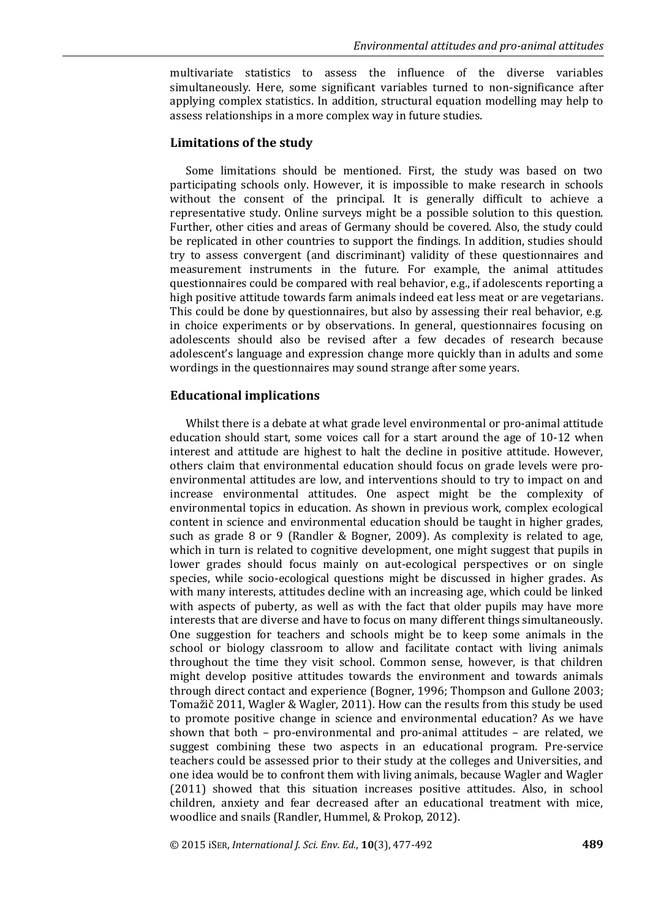multivariate statistics to assess the influence of the diverse variables simultaneously. Here, some significant variables turned to non-significance after applying complex statistics. In addition, structural equation modelling may help to assess relationships in a more complex way in future studies.

#### **Limitations of the study**

Some limitations should be mentioned. First, the study was based on two participating schools only. However, it is impossible to make research in schools without the consent of the principal. It is generally difficult to achieve a representative study. Online surveys might be a possible solution to this question. Further, other cities and areas of Germany should be covered. Also, the study could be replicated in other countries to support the findings. In addition, studies should try to assess convergent (and discriminant) validity of these questionnaires and measurement instruments in the future. For example, the animal attitudes questionnaires could be compared with real behavior, e.g., if adolescents reporting a high positive attitude towards farm animals indeed eat less meat or are vegetarians. This could be done by questionnaires, but also by assessing their real behavior, e.g. in choice experiments or by observations. In general, questionnaires focusing on adolescents should also be revised after a few decades of research because adolescent's language and expression change more quickly than in adults and some wordings in the questionnaires may sound strange after some years.

#### **Educational implications**

Whilst there is a debate at what grade level environmental or pro-animal attitude education should start, some voices call for a start around the age of 10-12 when interest and attitude are highest to halt the decline in positive attitude. However, others claim that environmental education should focus on grade levels were proenvironmental attitudes are low, and interventions should to try to impact on and increase environmental attitudes. One aspect might be the complexity of environmental topics in education. As shown in previous work, complex ecological content in science and environmental education should be taught in higher grades, such as grade 8 or 9 (Randler & Bogner, 2009). As complexity is related to age, which in turn is related to cognitive development, one might suggest that pupils in lower grades should focus mainly on aut-ecological perspectives or on single species, while socio-ecological questions might be discussed in higher grades. As with many interests, attitudes decline with an increasing age, which could be linked with aspects of puberty, as well as with the fact that older pupils may have more interests that are diverse and have to focus on many different things simultaneously. One suggestion for teachers and schools might be to keep some animals in the school or biology classroom to allow and facilitate contact with living animals throughout the time they visit school. Common sense, however, is that children might develop positive attitudes towards the environment and towards animals through direct contact and experience (Bogner, 1996; Thompson and Gullone 2003; Tomažič 2011, Wagler & Wagler, 2011). How can the results from this study be used to promote positive change in science and environmental education? As we have shown that both – pro-environmental and pro-animal attitudes – are related, we suggest combining these two aspects in an educational program. Pre-service teachers could be assessed prior to their study at the colleges and Universities, and one idea would be to confront them with living animals, because Wagler and Wagler (2011) showed that this situation increases positive attitudes. Also, in school children, anxiety and fear decreased after an educational treatment with mice, woodlice and snails (Randler, Hummel, & Prokop, 2012).

© 2015 iSER, *International J. Sci. Env. Ed.*, **10**(3), 477-492 **489**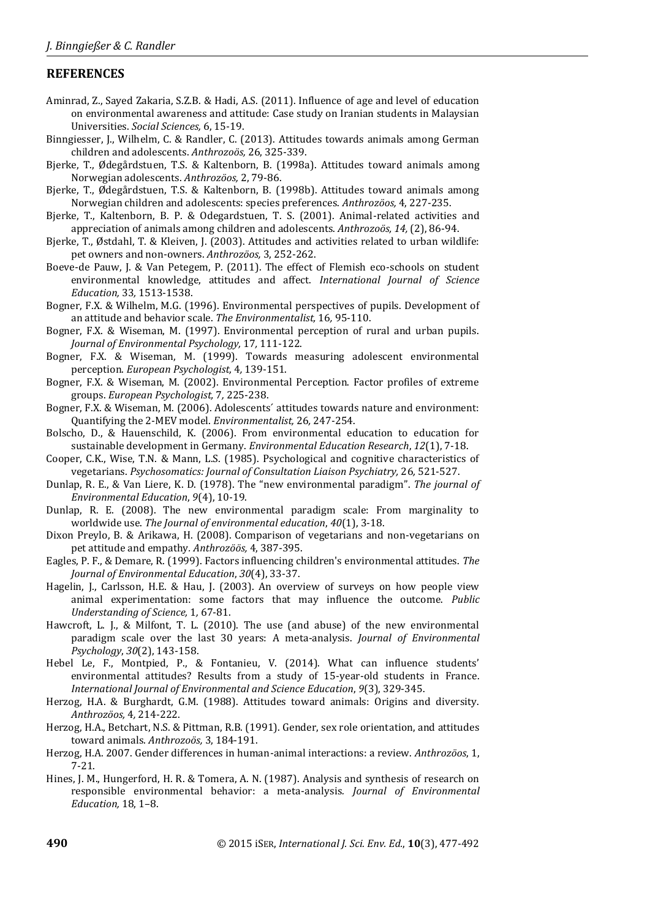# **REFERENCES**

- Aminrad, Z., Sayed Zakaria, S.Z.B. & Hadi, A.S. (2011). Influence of age and level of education on environmental awareness and attitude: Case study on Iranian students in Malaysian Universities. *Social Sciences,* 6, 15-19.
- Binngiesser, J., Wilhelm, C. & Randler, C. (2013). Attitudes towards animals among German children and adolescents. *Anthrozoös,* 26, 325-339.
- Bjerke, T., Ødegårdstuen, T.S. & Kaltenborn, B. (1998a). Attitudes toward animals among Norwegian adolescents. *Anthrozöos,* 2, 79-86.
- Bjerke, T., Ødegårdstuen, T.S. & Kaltenborn, B. (1998b). Attitudes toward animals among Norwegian children and adolescents: species preferences. *Anthrozöos,* 4, 227-235.
- Bjerke, T., Kaltenborn, B. P. & Odegardstuen, T. S. (2001). Animal-related activities and appreciation of animals among children and adolescents. *Anthrozoös, 14,* (2), 86-94.
- Bjerke, T., Østdahl, T. & Kleiven, J. (2003). Attitudes and activities related to urban wildlife: pet owners and non-owners. *Anthrozöos,* 3, 252-262.
- Boeve-de Pauw, J. & Van Petegem, P. (2011). The effect of Flemish eco-schools on student environmental knowledge, attitudes and affect. *International Journal of Science Education,* 33*,* 1513-1538.
- Bogner, F.X. & Wilhelm, M.G. (1996). Environmental perspectives of pupils. Development of an attitude and behavior scale. *The Environmentalist,* 16*,* 95-110.
- Bogner, F.X. & Wiseman, M. (1997). Environmental perception of rural and urban pupils. *Journal of Environmental Psychology,* 17*,* 111-122.
- Bogner, F.X. & Wiseman, M. (1999). Towards measuring adolescent environmental perception. *European Psychologist,* 4*,* 139-151.
- Bogner, F.X. & Wiseman, M. (2002). Environmental Perception. Factor profiles of extreme groups. *European Psychologist,* 7*,* 225-238.
- Bogner, F.X. & Wiseman, M. (2006). Adolescents´ attitudes towards nature and environment: Quantifying the 2-MEV model. *Environmentalist,* 26*,* 247-254.
- Bolscho, D., & Hauenschild, K. (2006). From environmental education to education for sustainable development in Germany. *Environmental Education Research*, *12*(1), 7-18.
- Cooper, C.K., Wise, T.N. & Mann, L.S. (1985). Psychological and cognitive characteristics of vegetarians. *Psychosomatics: Journal of Consultation Liaison Psychiatry,* 26*,* 521-527.
- Dunlap, R. E., & Van Liere, K. D. (1978). The "new environmental paradigm". *The journal of Environmental Education*, *9*(4), 10-19.
- Dunlap, R. E. (2008). The new environmental paradigm scale: From marginality to worldwide use. *The Journal of environmental education*, *40*(1), 3-18.
- Dixon Preylo, B. & Arikawa, H. (2008). Comparison of vegetarians and non-vegetarians on pet attitude and empathy*. Anthrozöös,* 4, 387-395.
- Eagles, P. F., & Demare, R. (1999). Factors influencing children's environmental attitudes. *The Journal of Environmental Education*, *30*(4), 33-37.
- Hagelin, J., Carlsson, H.E. & Hau, J. (2003). An overview of surveys on how people view animal experimentation: some factors that may influence the outcome. *Public Understanding of Science,* 1*,* 67-81.
- Hawcroft, L. J., & Milfont, T. L. (2010). The use (and abuse) of the new environmental paradigm scale over the last 30 years: A meta-analysis. *Journal of Environmental Psychology*, *30*(2), 143-158.
- Hebel Le, F., Montpied, P., & Fontanieu, V. (2014). What can influence students' environmental attitudes? Results from a study of 15-year-old students in France. *International Journal of Environmental and Science Education*, *9*(3), 329-345.
- Herzog, H.A. & Burghardt, G.M. (1988). Attitudes toward animals: Origins and diversity. *Anthrozöos,* 4*,* 214-222.
- Herzog, H.A., Betchart, N.S. & Pittman, R.B. (1991). Gender, sex role orientation, and attitudes toward animals. *Anthrozoös,* 3, 184-191.
- Herzog, H.A. 2007. Gender differences in human-animal interactions: a review. *Anthrozöos*, 1, 7-21.
- Hines, J. M., Hungerford, H. R. & Tomera, A. N. (1987). Analysis and synthesis of research on responsible environmental behavior: a meta-analysis*. Journal of Environmental Education,* 18, 1–8.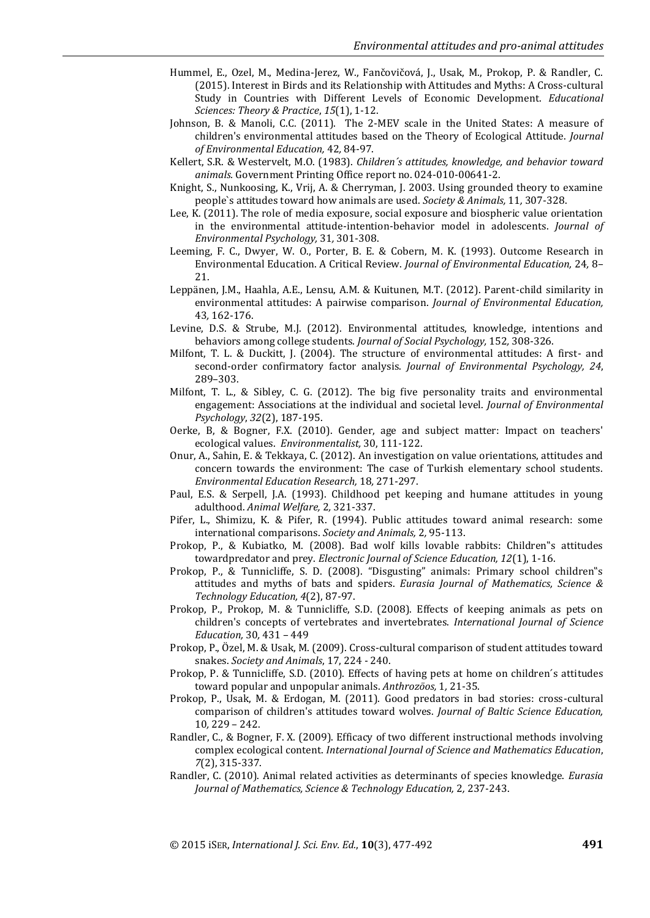- Hummel, E., Ozel, M., Medina-Jerez, W., Fančovičová, J., Usak, M., Prokop, P. & Randler, C. (2015). Interest in Birds and its Relationship with Attitudes and Myths: A Cross-cultural Study in Countries with Different Levels of Economic Development. *Educational Sciences: Theory & Practice*, *15*(1), 1-12.
- Johnson, B. & Manoli, C.C. (2011). The 2-MEV scale in the United States: A measure of children's environmental attitudes based on the Theory of Ecological Attitude. *Journal of Environmental Education,* 42*,* 84-97.
- Kellert, S.R. & Westervelt, M.O. (1983). *Children´s attitudes, knowledge, and behavior toward animals.* Government Printing Office report no. 024-010-00641-2.
- Knight, S., Nunkoosing, K., Vrij, A. & Cherryman, J. 2003. Using grounded theory to examine people`s attitudes toward how animals are used. *Society & Animals,* 11*,* 307-328.
- Lee, K. (2011). The role of media exposure, social exposure and biospheric value orientation in the environmental attitude-intention-behavior model in adolescents. *Journal of Environmental Psychology,* 31*,* 301-308.
- Leeming, F. C., Dwyer, W. O., Porter, B. E. & Cobern, M. K. (1993). Outcome Research in Environmental Education. A Critical Review. *Journal of Environmental Education,* 24*,* 8– 21.
- Leppänen, J.M., Haahla, A.E., Lensu, A.M. & Kuitunen, M.T. (2012). Parent-child similarity in environmental attitudes: A pairwise comparison. *Journal of Environmental Education,*  43*,* 162-176.
- Levine, D.S. & Strube, M.J. (2012). Environmental attitudes, knowledge, intentions and behaviors among college students. *Journal of Social Psychology,* 152*,* 308-326.
- Milfont, T. L. & Duckitt, J. (2004). The structure of environmental attitudes: A first- and second-order confirmatory factor analysis. *Journal of Environmental Psychology, 24*, 289–303.
- Milfont, T. L., & Sibley, C. G. (2012). The big five personality traits and environmental engagement: Associations at the individual and societal level. *Journal of Environmental Psychology*, *32*(2), 187-195.
- Oerke, B, & Bogner, F.X. (2010). Gender, age and subject matter: Impact on teachers' ecological values. *Environmentalist,* 30, 111-122.
- Onur, A., Sahin, E. & Tekkaya, C. (2012). An investigation on value orientations, attitudes and concern towards the environment: The case of Turkish elementary school students. *Environmental Education Research,* 18*,* 271-297.
- Paul, E.S. & Serpell, J.A. (1993). Childhood pet keeping and humane attitudes in young adulthood. *Animal Welfare,* 2*,* 321-337.
- Pifer, L., Shimizu, K. & Pifer, R. (1994). Public attitudes toward animal research: some international comparisons. *Society and Animals,* 2*,* 95-113.
- Prokop, P., & Kubiatko, M. (2008). Bad wolf kills lovable rabbits: Children"s attitudes towardpredator and prey. *Electronic Journal of Science Education, 12*(1), 1-16.
- Prokop, P., & Tunnicliffe, S. D. (2008). "Disgusting" animals: Primary school children"s attitudes and myths of bats and spiders. *Eurasia Journal of Mathematics, Science & Technology Education, 4*(2), 87-97.
- Prokop, P., Prokop, M. & Tunnicliffe, S.D. (2008). Effects of keeping animals as pets on children's concepts of vertebrates and invertebrates. *International Journal of Science Education,* 30*,* 431 – 449
- Prokop, P., Özel, M. & Usak, M. (2009). Cross-cultural comparison of student attitudes toward snakes. *Society and Animals*, 17, 224 - 240.
- Prokop, P. & Tunnicliffe, S.D. (2010). Effects of having pets at home on children´s attitudes toward popular and unpopular animals. *Anthrozöos,* 1*,* 21-35.
- Prokop, P., Usak, M. & Erdogan, M. (2011). Good predators in bad stories: cross-cultural comparison of children's attitudes toward wolves. *Journal of Baltic Science Education,*  10*,* 229 – 242.
- Randler, C., & Bogner, F. X. (2009). Efficacy of two different instructional methods involving complex ecological content. *International Journal of Science and Mathematics Education*, *7*(2), 315-337.
- Randler, C. (2010). Animal related activities as determinants of species knowledge. *Eurasia Journal of Mathematics, Science & Technology Education,* 2*,* 237-243.